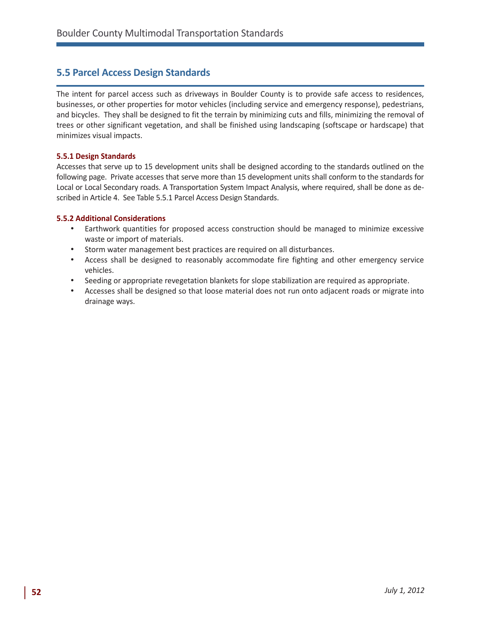# **5.5 Parcel Access Design Standards**

The intent for parcel access such as driveways in Boulder County is to provide safe access to residences, businesses, or other properties for motor vehicles (including service and emergency response), pedestrians, and bicycles. They shall be designed to fit the terrain by minimizing cuts and fills, minimizing the removal of trees or other significant vegetation, and shall be finished using landscaping (softscape or hardscape) that minimizes visual impacts.

### **5.5.1 Design Standards**

Accesses that serve up to 15 development units shall be designed according to the standards outlined on the following page. Private accesses that serve more than 15 development units shall conform to the standards for Local or Local Secondary roads. A Transportation System Impact Analysis, where required, shall be done as described in Article 4. See Table 5.5.1 Parcel Access Design Standards.

### **5.5.2 Additional Considerations**

- • Earthwork quantities for proposed access construction should be managed to minimize excessive waste or import of materials.
- • Storm water management best practices are required on all disturbances.
- • Access shall be designed to reasonably accommodate fire fighting and other emergency service vehicles.
- • Seeding or appropriate revegetation blankets for slope stabilization are required as appropriate.
- • Accesses shall be designed so that loose material does not run onto adjacent roads or migrate into drainage ways.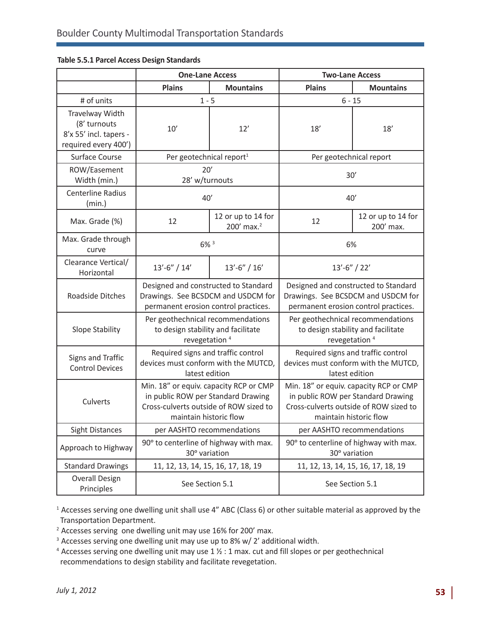|                                                                                   | <b>One-Lane Access</b>                                                                                                                           |                                              | <b>Two-Lane Access</b>                                                                                                                           |                                 |
|-----------------------------------------------------------------------------------|--------------------------------------------------------------------------------------------------------------------------------------------------|----------------------------------------------|--------------------------------------------------------------------------------------------------------------------------------------------------|---------------------------------|
|                                                                                   | <b>Plains</b>                                                                                                                                    | <b>Mountains</b>                             | <b>Plains</b>                                                                                                                                    | <b>Mountains</b>                |
| # of units                                                                        | $1 - 5$                                                                                                                                          |                                              | $6 - 15$                                                                                                                                         |                                 |
| Travelway Width<br>(8' turnouts<br>8'x 55' incl. tapers -<br>required every 400') | 10'                                                                                                                                              | 12'                                          | 18'                                                                                                                                              | 18'                             |
| Surface Course                                                                    | Per geotechnical report <sup>1</sup>                                                                                                             |                                              | Per geotechnical report                                                                                                                          |                                 |
| ROW/Easement<br>Width (min.)                                                      | 20'<br>28' w/turnouts                                                                                                                            |                                              | 30'                                                                                                                                              |                                 |
| <b>Centerline Radius</b><br>(min.)                                                | 40'                                                                                                                                              |                                              | 40'                                                                                                                                              |                                 |
| Max. Grade (%)                                                                    | 12                                                                                                                                               | 12 or up to 14 for<br>200' max. <sup>2</sup> | 12                                                                                                                                               | 12 or up to 14 for<br>200' max. |
| Max. Grade through<br>curve                                                       | 6% 3                                                                                                                                             |                                              | 6%                                                                                                                                               |                                 |
| Clearance Vertical/<br>Horizontal                                                 | $13'-6''/14'$                                                                                                                                    | $13'-6''/16'$                                | $13'-6''/22'$                                                                                                                                    |                                 |
| Roadside Ditches                                                                  | Designed and constructed to Standard<br>Drawings. See BCSDCM and USDCM for<br>permanent erosion control practices.                               |                                              | Designed and constructed to Standard<br>Drawings. See BCSDCM and USDCM for<br>permanent erosion control practices.                               |                                 |
| Slope Stability                                                                   | Per geothechnical recommendations<br>to design stability and facilitate<br>revegetation <sup>4</sup>                                             |                                              | Per geothechnical recommendations<br>to design stability and facilitate<br>revegetation <sup>4</sup>                                             |                                 |
| Signs and Traffic<br><b>Control Devices</b>                                       | Required signs and traffic control<br>devices must conform with the MUTCD,<br>latest edition                                                     |                                              | Required signs and traffic control<br>devices must conform with the MUTCD,<br>latest edition                                                     |                                 |
| Culverts                                                                          | Min. 18" or equiv. capacity RCP or CMP<br>in public ROW per Standard Drawing<br>Cross-culverts outside of ROW sized to<br>maintain historic flow |                                              | Min. 18" or equiv. capacity RCP or CMP<br>in public ROW per Standard Drawing<br>Cross-culverts outside of ROW sized to<br>maintain historic flow |                                 |
| <b>Sight Distances</b>                                                            | per AASHTO recommendations                                                                                                                       |                                              | per AASHTO recommendations                                                                                                                       |                                 |
| Approach to Highway                                                               | 90° to centerline of highway with max.<br>30° variation                                                                                          |                                              | 90° to centerline of highway with max.<br>30° variation                                                                                          |                                 |
| <b>Standard Drawings</b>                                                          | 11, 12, 13, 14, 15, 16, 17, 18, 19                                                                                                               |                                              | 11, 12, 13, 14, 15, 16, 17, 18, 19                                                                                                               |                                 |
| <b>Overall Design</b><br>Principles                                               | See Section 5.1                                                                                                                                  |                                              | See Section 5.1                                                                                                                                  |                                 |

### **Table 5.5.1 Parcel Access Design Standards**

<sup>1</sup> Accesses serving one dwelling unit shall use 4" ABC (Class 6) or other suitable material as approved by the Transportation Department.

<sup>2</sup> Accesses serving one dwelling unit may use 16% for 200' max.

- <sup>3</sup> Accesses serving one dwelling unit may use up to 8% w/ 2' additional width.
- <sup>4</sup> Accesses serving one dwelling unit may use 1  $\frac{1}{2}$  : 1 max. cut and fill slopes or per geothechnical recommendations to design stability and facilitate revegetation.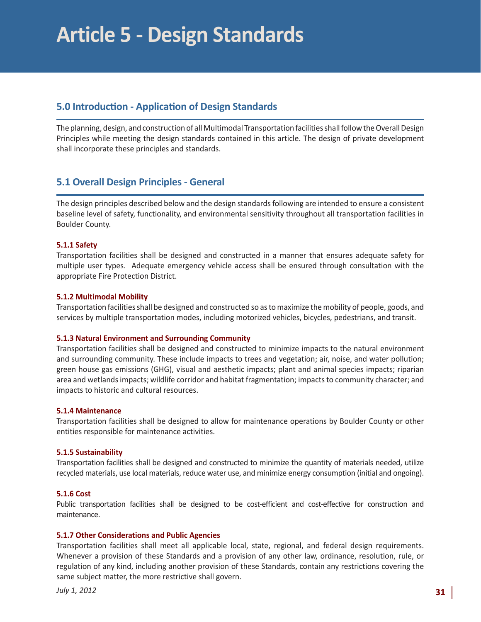# **5.0 Introduction - Application of Design Standards**

The planning, design, and construction of all Multimodal Transportation facilities shall follow the Overall Design Principles while meeting the design standards contained in this article. The design of private development shall incorporate these principles and standards.

## **5.1 Overall Design Principles - General**

The design principles described below and the design standards following are intended to ensure a consistent baseline level of safety, functionality, and environmental sensitivity throughout all transportation facilities in Boulder County.

### **5.1.1 Safety**

Transportation facilities shall be designed and constructed in a manner that ensures adequate safety for multiple user types. Adequate emergency vehicle access shall be ensured through consultation with the appropriate Fire Protection District.

#### **5.1.2 Multimodal Mobility**

Transportation facilities shall be designed and constructed so as to maximize the mobility of people, goods, and services by multiple transportation modes, including motorized vehicles, bicycles, pedestrians, and transit.

#### **5.1.3 Natural Environment and Surrounding Community**

Transportation facilities shall be designed and constructed to minimize impacts to the natural environment and surrounding community. These include impacts to trees and vegetation; air, noise, and water pollution; green house gas emissions (GHG), visual and aesthetic impacts; plant and animal species impacts; riparian area and wetlands impacts; wildlife corridor and habitat fragmentation; impacts to community character; and impacts to historic and cultural resources.

#### **5.1.4 Maintenance**

Transportation facilities shall be designed to allow for maintenance operations by Boulder County or other entities responsible for maintenance activities.

### **5.1.5 Sustainability**

Transportation facilities shall be designed and constructed to minimize the quantity of materials needed, utilize recycled materials, use local materials, reduce water use, and minimize energy consumption (initial and ongoing).

#### **5.1.6 Cost**

Public transportation facilities shall be designed to be cost-efficient and cost-effective for construction and maintenance.

#### **5.1.7 Other Considerations and Public Agencies**

Transportation facilities shall meet all applicable local, state, regional, and federal design requirements. Whenever a provision of these Standards and a provision of any other law, ordinance, resolution, rule, or regulation of any kind, including another provision of these Standards, contain any restrictions covering the same subject matter, the more restrictive shall govern.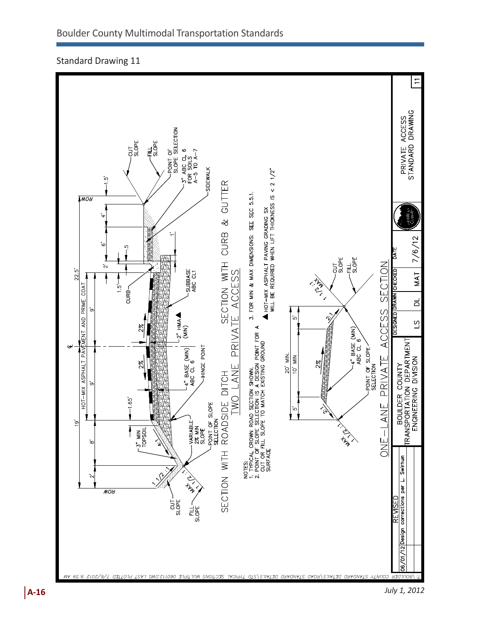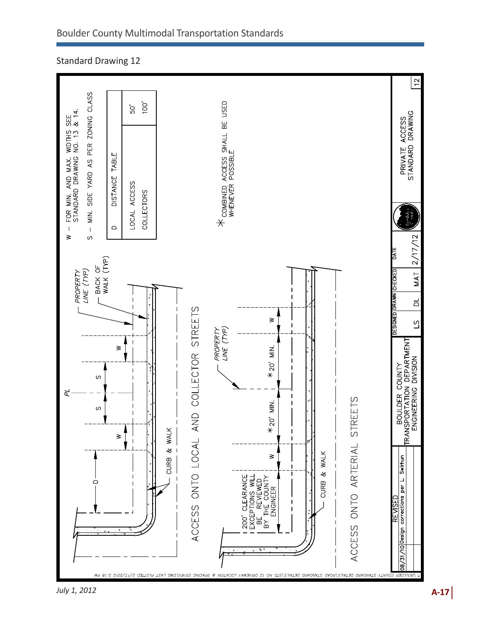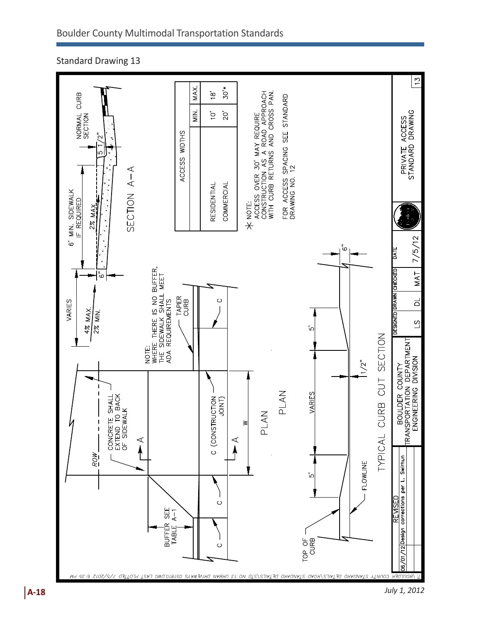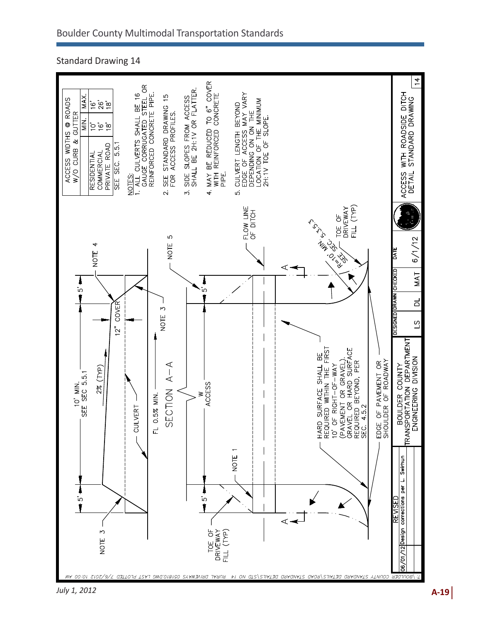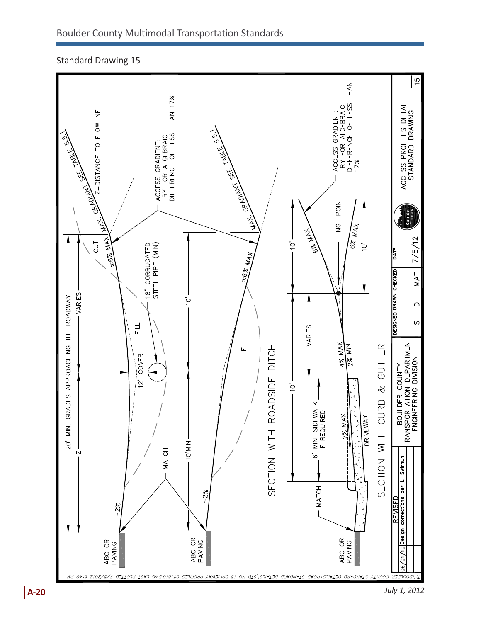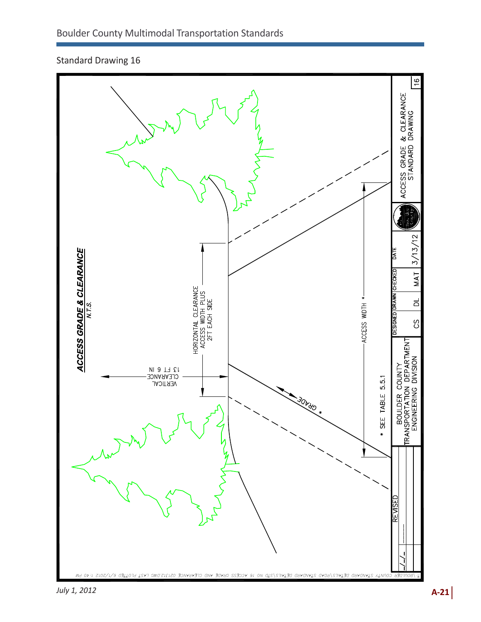

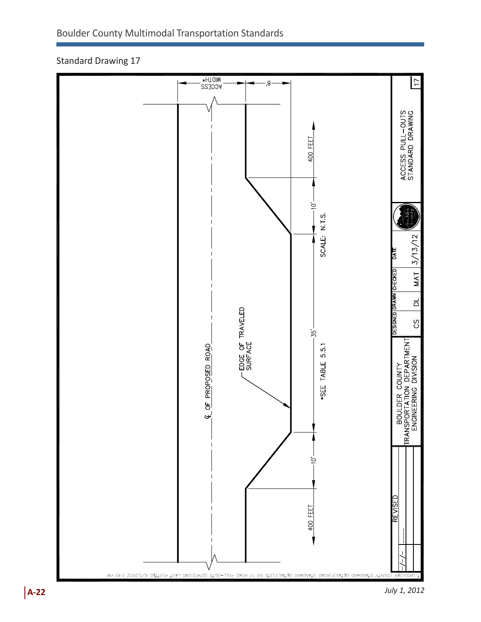

Standard Drawing 17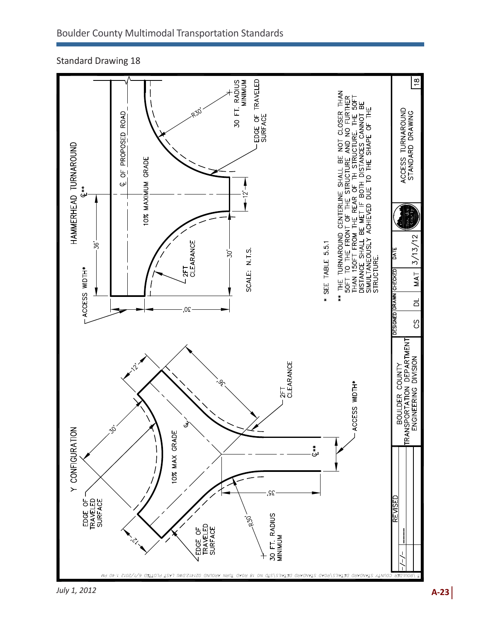